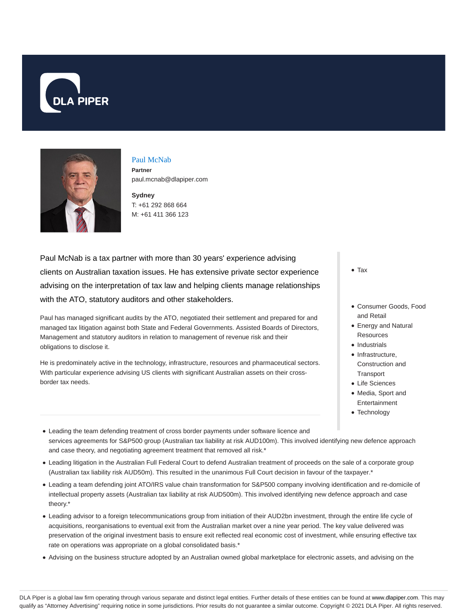



### Paul McNab **Partner**

paul.mcnab@dlapiper.com

**Sydney** T: +61 292 868 664 M: +61 411 366 123

Paul McNab is a tax partner with more than 30 years' experience advising clients on Australian taxation issues. He has extensive private sector experience advising on the interpretation of tax law and helping clients manage relationships with the ATO, statutory auditors and other stakeholders.

Paul has managed significant audits by the ATO, negotiated their settlement and prepared for and managed tax litigation against both State and Federal Governments. Assisted Boards of Directors, Management and statutory auditors in relation to management of revenue risk and their obligations to disclose it.

He is predominately active in the technology, infrastructure, resources and pharmaceutical sectors. With particular experience advising US clients with significant Australian assets on their crossborder tax needs.

Tax

- Consumer Goods, Food and Retail
- Energy and Natural **Resources**
- Industrials
- $\bullet$  Infrastructure, Construction and
- **Transport**
- Life Sciences
- Media, Sport and Entertainment
- Technology
- Leading the team defending treatment of cross border payments under software licence and services agreements for S&P500 group (Australian tax liability at risk AUD100m). This involved identifying new defence approach and case theory, and negotiating agreement treatment that removed all risk.\*
- Leading litigation in the Australian Full Federal Court to defend Australian treatment of proceeds on the sale of a corporate group (Australian tax liability risk AUD50m). This resulted in the unanimous Full Court decision in favour of the taxpayer.\*
- Leading a team defending joint ATO/IRS value chain transformation for S&P500 company involving identification and re-domicile of intellectual property assets (Australian tax liability at risk AUD500m). This involved identifying new defence approach and case theory.\*
- Leading advisor to a foreign telecommunications group from initiation of their AUD2bn investment, through the entire life cycle of acquisitions, reorganisations to eventual exit from the Australian market over a nine year period. The key value delivered was preservation of the original investment basis to ensure exit reflected real economic cost of investment, while ensuring effective tax rate on operations was appropriate on a global consolidated basis.\*
- Advising on the business structure adopted by an Australian owned global marketplace for electronic assets, and advising on the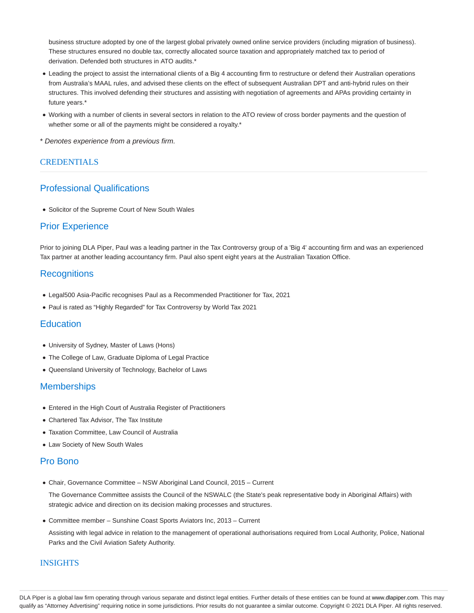business structure adopted by one of the largest global privately owned online service providers (including migration of business). These structures ensured no double tax, correctly allocated source taxation and appropriately matched tax to period of derivation. Defended both structures in ATO audits.\*

- Leading the project to assist the international clients of a Big 4 accounting firm to restructure or defend their Australian operations from Australia's MAAL rules, and advised these clients on the effect of subsequent Australian DPT and anti-hybrid rules on their structures. This involved defending their structures and assisting with negotiation of agreements and APAs providing certainty in future years.\*
- Working with a number of clients in several sectors in relation to the ATO review of cross border payments and the question of whether some or all of the payments might be considered a royalty.<sup>\*</sup>
- \* Denotes experience from a previous firm.

### CREDENTIALS

# Professional Qualifications

Solicitor of the Supreme Court of New South Wales

## Prior Experience

Prior to joining DLA Piper, Paul was a leading partner in the Tax Controversy group of a 'Big 4' accounting firm and was an experienced Tax partner at another leading accountancy firm. Paul also spent eight years at the Australian Taxation Office.

## **Recognitions**

- Legal500 Asia-Pacific recognises Paul as a Recommended Practitioner for Tax, 2021
- Paul is rated as "Highly Regarded" for Tax Controversy by World Tax 2021

## **Education**

- University of Sydney, Master of Laws (Hons)
- The College of Law, Graduate Diploma of Legal Practice
- Queensland University of Technology, Bachelor of Laws

## **Memberships**

- Entered in the High Court of Australia Register of Practitioners
- Chartered Tax Advisor, The Tax Institute
- Taxation Committee, Law Council of Australia
- Law Society of New South Wales

## Pro Bono

Chair, Governance Committee – NSW Aboriginal Land Council, 2015 – Current

The Governance Committee assists the Council of the NSWALC (the State's peak representative body in Aboriginal Affairs) with strategic advice and direction on its decision making processes and structures.

Committee member – Sunshine Coast Sports Aviators Inc, 2013 – Current

Assisting with legal advice in relation to the management of operational authorisations required from Local Authority, Police, National Parks and the Civil Aviation Safety Authority.

## INSIGHTS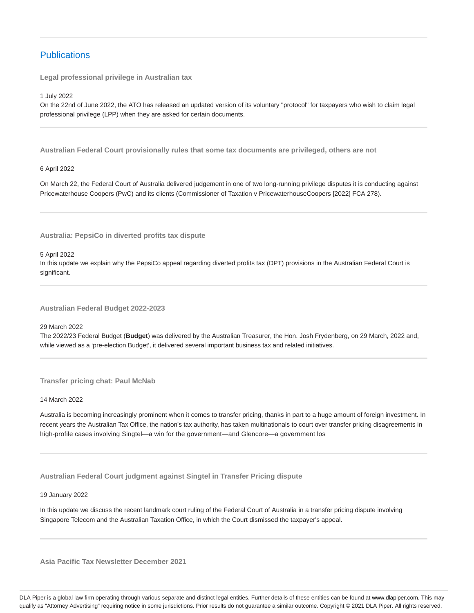# **Publications**

**Legal professional privilege in Australian tax**

1 July 2022

On the 22nd of June 2022, the ATO has released an updated version of its voluntary "protocol" for taxpayers who wish to claim legal professional privilege (LPP) when they are asked for certain documents.

**Australian Federal Court provisionally rules that some tax documents are privileged, others are not**

6 April 2022

On March 22, the Federal Court of Australia delivered judgement in one of two long-running privilege disputes it is conducting against Pricewaterhouse Coopers (PwC) and its clients (Commissioner of Taxation v PricewaterhouseCoopers [2022] FCA 278).

**Australia: PepsiCo in diverted profits tax dispute**

5 April 2022

In this update we explain why the PepsiCo appeal regarding diverted profits tax (DPT) provisions in the Australian Federal Court is significant.

**Australian Federal Budget 2022-2023**

29 March 2022

The 2022/23 Federal Budget (**Budget**) was delivered by the Australian Treasurer, the Hon. Josh Frydenberg, on 29 March, 2022 and, while viewed as a 'pre-election Budget', it delivered several important business tax and related initiatives.

**Transfer pricing chat: Paul McNab**

14 March 2022

Australia is becoming increasingly prominent when it comes to transfer pricing, thanks in part to a huge amount of foreign investment. In recent years the Australian Tax Office, the nation's tax authority, has taken multinationals to court over transfer pricing disagreements in high-profile cases involving Singtel—a win for the government—and Glencore—a government los

**Australian Federal Court judgment against Singtel in Transfer Pricing dispute**

19 January 2022

In this update we discuss the recent landmark court ruling of the Federal Court of Australia in a transfer pricing dispute involving Singapore Telecom and the Australian Taxation Office, in which the Court dismissed the taxpayer's appeal.

**Asia Pacific Tax Newsletter December 2021**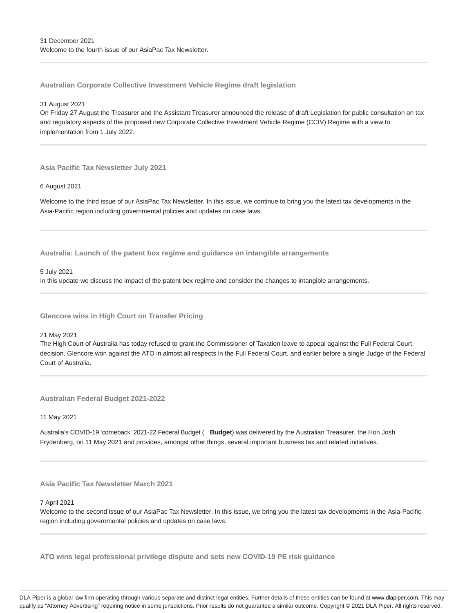**Australian Corporate Collective Investment Vehicle Regime draft legislation**

31 August 2021

On Friday 27 August the Treasurer and the Assistant Treasurer announced the release of draft Legislation for public consultation on tax and regulatory aspects of the proposed new Corporate Collective Investment Vehicle Regime (CCIV) Regime with a view to implementation from 1 July 2022.

**Asia Pacific Tax Newsletter July 2021**

6 August 2021

Welcome to the third issue of our AsiaPac Tax Newsletter. In this issue, we continue to bring you the latest tax developments in the Asia-Pacific region including governmental policies and updates on case laws.

**Australia: Launch of the patent box regime and guidance on intangible arrangements**

5 July 2021

In this update we discuss the impact of the patent box regime and consider the changes to intangible arrangements.

**Glencore wins in High Court on Transfer Pricing**

21 May 2021

The High Court of Australia has today refused to grant the Commissioner of Taxation leave to appeal against the Full Federal Court decision. Glencore won against the ATO in almost all respects in the Full Federal Court, and earlier before a single Judge of the Federal Court of Australia.

**Australian Federal Budget 2021-2022**

11 May 2021

Australia's COVID-19 'comeback' 2021-22 Federal Budget ( **Budget**) was delivered by the Australian Treasurer, the Hon Josh Frydenberg, on 11 May 2021 and provides, amongst other things, several important business tax and related initiatives.

**Asia Pacific Tax Newsletter March 2021**

7 April 2021

Welcome to the second issue of our AsiaPac Tax Newsletter. In this issue, we bring you the latest tax developments in the Asia-Pacific region including governmental policies and updates on case laws.

**ATO wins legal professional privilege dispute and sets new COVID-19 PE risk guidance**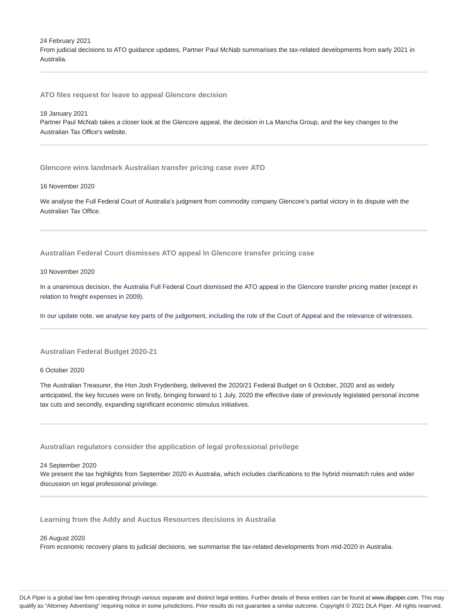24 February 2021 From judicial decisions to ATO guidance updates, Partner Paul McNab summarises the tax-related developments from early 2021 in Australia.

**ATO files request for leave to appeal Glencore decision**

#### 18 January 2021

Partner Paul McNab takes a closer look at the Glencore appeal, the decision in La Mancha Group, and the key changes to the Australian Tax Office's website.

**Glencore wins landmark Australian transfer pricing case over ATO**

### 16 November 2020

We analyse the Full Federal Court of Australia's judgment from commodity company Glencore's partial victory in its dispute with the Australian Tax Office.

**Australian Federal Court dismisses ATO appeal In Glencore transfer pricing case**

### 10 November 2020

In a unanimous decision, the Australia Full Federal Court dismissed the ATO appeal in the Glencore transfer pricing matter (except in relation to freight expenses in 2009).

In our update note, we analyse key parts of the judgement, including the role of the Court of Appeal and the relevance of witnesses.

### **Australian Federal Budget 2020-21**

6 October 2020

The Australian Treasurer, the Hon Josh Frydenberg, delivered the 2020/21 Federal Budget on 6 October, 2020 and as widely anticipated, the key focuses were on firstly, bringing forward to 1 July, 2020 the effective date of previously legislated personal income tax cuts and secondly, expanding significant economic stimulus initiatives.

**Australian regulators consider the application of legal professional privilege**

#### 24 September 2020

We present the tax highlights from September 2020 in Australia, which includes clarifications to the hybrid mismatch rules and wider discussion on legal professional privilege.

**Learning from the Addy and Auctus Resources decisions in Australia**

26 August 2020

From economic recovery plans to judicial decisions, we summarise the tax-related developments from mid-2020 in Australia.